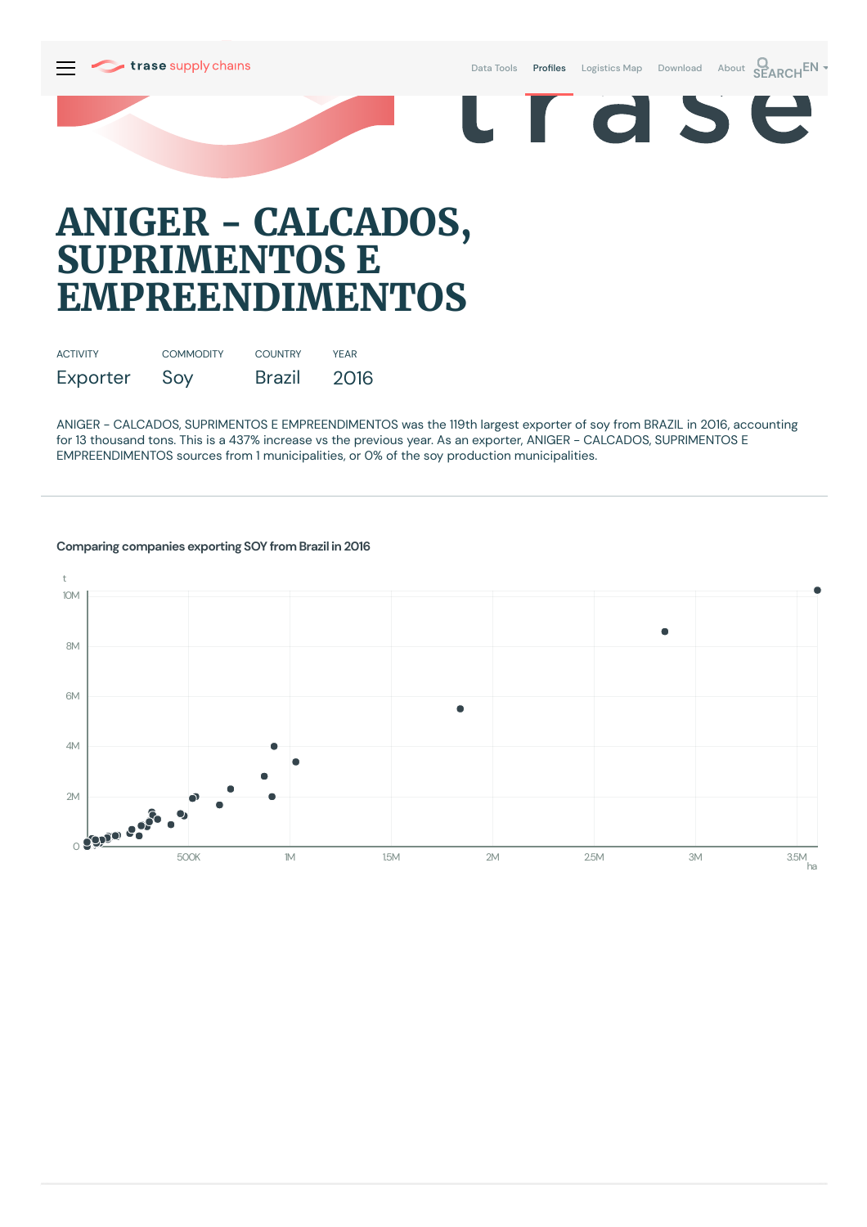

Data [Tools](https://supplychains.trase.earth/explore) Profiles [Logistics](https://supplychains.trase.earth/logistics-map) Map [Download](https://supplychains.trase.earth/data) [About](https://supplychains.trase.earth/about) **SEARCH<sup>EN</sup>** 

r d S

e

# **ANIGER - CALCADOS, SUPRIMENTOS E EMPREENDIMENTOS**

| <b>ACTIVITY</b> | <b>COMMODITY</b> | <b>COUNTRY</b> | YFAR |
|-----------------|------------------|----------------|------|
| Exporter        | Soy              | <b>Brazil</b>  | 2016 |

ANIGER - CALCADOS, SUPRIMENTOS E EMPREENDIMENTOS was the 119th largest exporter of soy from BRAZIL in 2016, accounting for 13 thousand tons. This is a 437% increase vs the previous year. As an exporter, ANIGER - CALCADOS, SUPRIMENTOS E EMPREENDIMENTOS sources from 1 municipalities, or 0% of the soy production municipalities.



### **Comparing companies exporting SOY from Brazil in 2016**